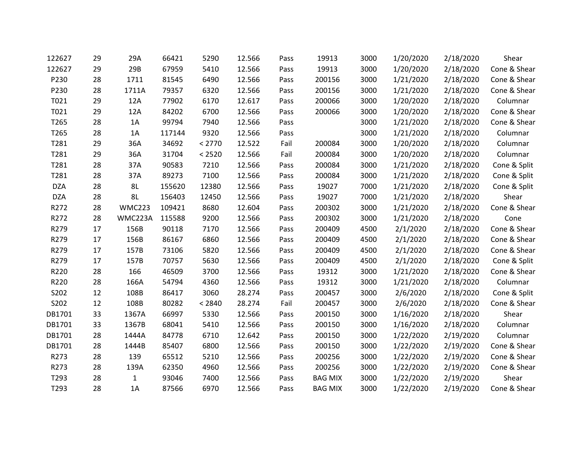| 122627     | 29 | 29A           | 66421  | 5290   | 12.566 | Pass | 19913          | 3000 | 1/20/2020 | 2/18/2020 | Shear        |
|------------|----|---------------|--------|--------|--------|------|----------------|------|-----------|-----------|--------------|
| 122627     | 29 | 29B           | 67959  | 5410   | 12.566 | Pass | 19913          | 3000 | 1/20/2020 | 2/18/2020 | Cone & Shear |
| P230       | 28 | 1711          | 81545  | 6490   | 12.566 | Pass | 200156         | 3000 | 1/21/2020 | 2/18/2020 | Cone & Shear |
| P230       | 28 | 1711A         | 79357  | 6320   | 12.566 | Pass | 200156         | 3000 | 1/21/2020 | 2/18/2020 | Cone & Shear |
| T021       | 29 | 12A           | 77902  | 6170   | 12.617 | Pass | 200066         | 3000 | 1/20/2020 | 2/18/2020 | Columnar     |
| T021       | 29 | 12A           | 84202  | 6700   | 12.566 | Pass | 200066         | 3000 | 1/20/2020 | 2/18/2020 | Cone & Shear |
| T265       | 28 | 1A            | 99794  | 7940   | 12.566 | Pass |                | 3000 | 1/21/2020 | 2/18/2020 | Cone & Shear |
| T265       | 28 | 1A            | 117144 | 9320   | 12.566 | Pass |                | 3000 | 1/21/2020 | 2/18/2020 | Columnar     |
| T281       | 29 | 36A           | 34692  | < 2770 | 12.522 | Fail | 200084         | 3000 | 1/20/2020 | 2/18/2020 | Columnar     |
| T281       | 29 | 36A           | 31704  | < 2520 | 12.566 | Fail | 200084         | 3000 | 1/20/2020 | 2/18/2020 | Columnar     |
| T281       | 28 | 37A           | 90583  | 7210   | 12.566 | Pass | 200084         | 3000 | 1/21/2020 | 2/18/2020 | Cone & Split |
| T281       | 28 | 37A           | 89273  | 7100   | 12.566 | Pass | 200084         | 3000 | 1/21/2020 | 2/18/2020 | Cone & Split |
| <b>DZA</b> | 28 | 8L            | 155620 | 12380  | 12.566 | Pass | 19027          | 7000 | 1/21/2020 | 2/18/2020 | Cone & Split |
| <b>DZA</b> | 28 | 8L            | 156403 | 12450  | 12.566 | Pass | 19027          | 7000 | 1/21/2020 | 2/18/2020 | Shear        |
| R272       | 28 | <b>WMC223</b> | 109421 | 8680   | 12.604 | Pass | 200302         | 3000 | 1/21/2020 | 2/18/2020 | Cone & Shear |
| R272       | 28 | WMC223A       | 115588 | 9200   | 12.566 | Pass | 200302         | 3000 | 1/21/2020 | 2/18/2020 | Cone         |
| R279       | 17 | 156B          | 90118  | 7170   | 12.566 | Pass | 200409         | 4500 | 2/1/2020  | 2/18/2020 | Cone & Shear |
| R279       | 17 | 156B          | 86167  | 6860   | 12.566 | Pass | 200409         | 4500 | 2/1/2020  | 2/18/2020 | Cone & Shear |
| R279       | 17 | 157B          | 73106  | 5820   | 12.566 | Pass | 200409         | 4500 | 2/1/2020  | 2/18/2020 | Cone & Shear |
| R279       | 17 | 157B          | 70757  | 5630   | 12.566 | Pass | 200409         | 4500 | 2/1/2020  | 2/18/2020 | Cone & Split |
| R220       | 28 | 166           | 46509  | 3700   | 12.566 | Pass | 19312          | 3000 | 1/21/2020 | 2/18/2020 | Cone & Shear |
| R220       | 28 | 166A          | 54794  | 4360   | 12.566 | Pass | 19312          | 3000 | 1/21/2020 | 2/18/2020 | Columnar     |
| S202       | 12 | 108B          | 86417  | 3060   | 28.274 | Pass | 200457         | 3000 | 2/6/2020  | 2/18/2020 | Cone & Split |
| S202       | 12 | 108B          | 80282  | < 2840 | 28.274 | Fail | 200457         | 3000 | 2/6/2020  | 2/18/2020 | Cone & Shear |
| DB1701     | 33 | 1367A         | 66997  | 5330   | 12.566 | Pass | 200150         | 3000 | 1/16/2020 | 2/18/2020 | Shear        |
| DB1701     | 33 | 1367B         | 68041  | 5410   | 12.566 | Pass | 200150         | 3000 | 1/16/2020 | 2/18/2020 | Columnar     |
| DB1701     | 28 | 1444A         | 84778  | 6710   | 12.642 | Pass | 200150         | 3000 | 1/22/2020 | 2/19/2020 | Columnar     |
| DB1701     | 28 | 1444B         | 85407  | 6800   | 12.566 | Pass | 200150         | 3000 | 1/22/2020 | 2/19/2020 | Cone & Shear |
| R273       | 28 | 139           | 65512  | 5210   | 12.566 | Pass | 200256         | 3000 | 1/22/2020 | 2/19/2020 | Cone & Shear |
| R273       | 28 | 139A          | 62350  | 4960   | 12.566 | Pass | 200256         | 3000 | 1/22/2020 | 2/19/2020 | Cone & Shear |
| T293       | 28 | $\mathbf{1}$  | 93046  | 7400   | 12.566 | Pass | <b>BAG MIX</b> | 3000 | 1/22/2020 | 2/19/2020 | Shear        |
| T293       | 28 | 1A            | 87566  | 6970   | 12.566 | Pass | <b>BAG MIX</b> | 3000 | 1/22/2020 | 2/19/2020 | Cone & Shear |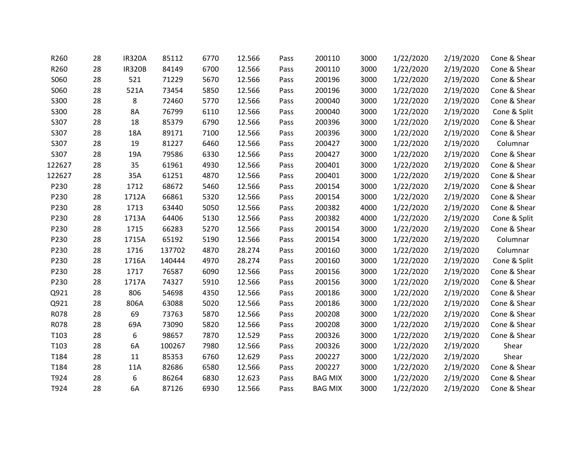| R260   | 28 | <b>IR320A</b> | 85112  | 6770 | 12.566 | Pass | 200110         | 3000 | 1/22/2020 | 2/19/2020 | Cone & Shear |
|--------|----|---------------|--------|------|--------|------|----------------|------|-----------|-----------|--------------|
| R260   | 28 | <b>IR320B</b> | 84149  | 6700 | 12.566 | Pass | 200110         | 3000 | 1/22/2020 | 2/19/2020 | Cone & Shear |
| S060   | 28 | 521           | 71229  | 5670 | 12.566 | Pass | 200196         | 3000 | 1/22/2020 | 2/19/2020 | Cone & Shear |
| S060   | 28 | 521A          | 73454  | 5850 | 12.566 | Pass | 200196         | 3000 | 1/22/2020 | 2/19/2020 | Cone & Shear |
| S300   | 28 | 8             | 72460  | 5770 | 12.566 | Pass | 200040         | 3000 | 1/22/2020 | 2/19/2020 | Cone & Shear |
| S300   | 28 | 8A            | 76799  | 6110 | 12.566 | Pass | 200040         | 3000 | 1/22/2020 | 2/19/2020 | Cone & Split |
| S307   | 28 | 18            | 85379  | 6790 | 12.566 | Pass | 200396         | 3000 | 1/22/2020 | 2/19/2020 | Cone & Shear |
| S307   | 28 | 18A           | 89171  | 7100 | 12.566 | Pass | 200396         | 3000 | 1/22/2020 | 2/19/2020 | Cone & Shear |
| S307   | 28 | 19            | 81227  | 6460 | 12.566 | Pass | 200427         | 3000 | 1/22/2020 | 2/19/2020 | Columnar     |
| S307   | 28 | 19A           | 79586  | 6330 | 12.566 | Pass | 200427         | 3000 | 1/22/2020 | 2/19/2020 | Cone & Shear |
| 122627 | 28 | 35            | 61961  | 4930 | 12.566 | Pass | 200401         | 3000 | 1/22/2020 | 2/19/2020 | Cone & Shear |
| 122627 | 28 | 35A           | 61251  | 4870 | 12.566 | Pass | 200401         | 3000 | 1/22/2020 | 2/19/2020 | Cone & Shear |
| P230   | 28 | 1712          | 68672  | 5460 | 12.566 | Pass | 200154         | 3000 | 1/22/2020 | 2/19/2020 | Cone & Shear |
| P230   | 28 | 1712A         | 66861  | 5320 | 12.566 | Pass | 200154         | 3000 | 1/22/2020 | 2/19/2020 | Cone & Shear |
| P230   | 28 | 1713          | 63440  | 5050 | 12.566 | Pass | 200382         | 4000 | 1/22/2020 | 2/19/2020 | Cone & Shear |
| P230   | 28 | 1713A         | 64406  | 5130 | 12.566 | Pass | 200382         | 4000 | 1/22/2020 | 2/19/2020 | Cone & Split |
| P230   | 28 | 1715          | 66283  | 5270 | 12.566 | Pass | 200154         | 3000 | 1/22/2020 | 2/19/2020 | Cone & Shear |
| P230   | 28 | 1715A         | 65192  | 5190 | 12.566 | Pass | 200154         | 3000 | 1/22/2020 | 2/19/2020 | Columnar     |
| P230   | 28 | 1716          | 137702 | 4870 | 28.274 | Pass | 200160         | 3000 | 1/22/2020 | 2/19/2020 | Columnar     |
| P230   | 28 | 1716A         | 140444 | 4970 | 28.274 | Pass | 200160         | 3000 | 1/22/2020 | 2/19/2020 | Cone & Split |
| P230   | 28 | 1717          | 76587  | 6090 | 12.566 | Pass | 200156         | 3000 | 1/22/2020 | 2/19/2020 | Cone & Shear |
| P230   | 28 | 1717A         | 74327  | 5910 | 12.566 | Pass | 200156         | 3000 | 1/22/2020 | 2/19/2020 | Cone & Shear |
| Q921   | 28 | 806           | 54698  | 4350 | 12.566 | Pass | 200186         | 3000 | 1/22/2020 | 2/19/2020 | Cone & Shear |
| Q921   | 28 | 806A          | 63088  | 5020 | 12.566 | Pass | 200186         | 3000 | 1/22/2020 | 2/19/2020 | Cone & Shear |
| R078   | 28 | 69            | 73763  | 5870 | 12.566 | Pass | 200208         | 3000 | 1/22/2020 | 2/19/2020 | Cone & Shear |
| R078   | 28 | 69A           | 73090  | 5820 | 12.566 | Pass | 200208         | 3000 | 1/22/2020 | 2/19/2020 | Cone & Shear |
| T103   | 28 | 6             | 98657  | 7870 | 12.529 | Pass | 200326         | 3000 | 1/22/2020 | 2/19/2020 | Cone & Shear |
| T103   | 28 | 6A            | 100267 | 7980 | 12.566 | Pass | 200326         | 3000 | 1/22/2020 | 2/19/2020 | Shear        |
| T184   | 28 | 11            | 85353  | 6760 | 12.629 | Pass | 200227         | 3000 | 1/22/2020 | 2/19/2020 | Shear        |
| T184   | 28 | 11A           | 82686  | 6580 | 12.566 | Pass | 200227         | 3000 | 1/22/2020 | 2/19/2020 | Cone & Shear |
| T924   | 28 | 6             | 86264  | 6830 | 12.623 | Pass | <b>BAG MIX</b> | 3000 | 1/22/2020 | 2/19/2020 | Cone & Shear |
| T924   | 28 | 6A            | 87126  | 6930 | 12.566 | Pass | <b>BAG MIX</b> | 3000 | 1/22/2020 | 2/19/2020 | Cone & Shear |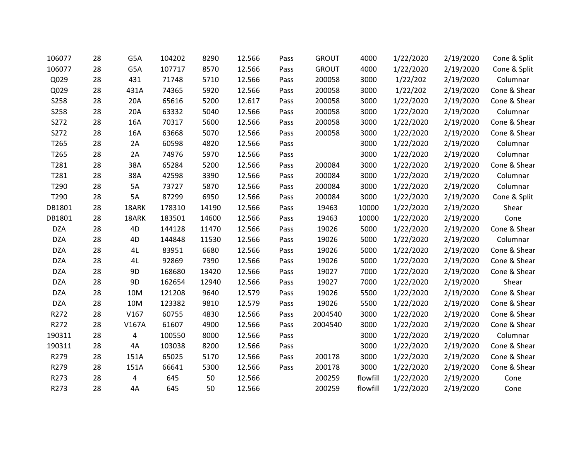| 106077      | 28 | G5A            | 104202 | 8290  | 12.566 | Pass | <b>GROUT</b> | 4000     | 1/22/2020 | 2/19/2020 | Cone & Split |
|-------------|----|----------------|--------|-------|--------|------|--------------|----------|-----------|-----------|--------------|
| 106077      | 28 | G5A            | 107717 | 8570  | 12.566 | Pass | <b>GROUT</b> | 4000     | 1/22/2020 | 2/19/2020 | Cone & Split |
| Q029        | 28 | 431            | 71748  | 5710  | 12.566 | Pass | 200058       | 3000     | 1/22/202  | 2/19/2020 | Columnar     |
| Q029        | 28 | 431A           | 74365  | 5920  | 12.566 | Pass | 200058       | 3000     | 1/22/202  | 2/19/2020 | Cone & Shear |
| <b>S258</b> | 28 | 20A            | 65616  | 5200  | 12.617 | Pass | 200058       | 3000     | 1/22/2020 | 2/19/2020 | Cone & Shear |
| <b>S258</b> | 28 | 20A            | 63332  | 5040  | 12.566 | Pass | 200058       | 3000     | 1/22/2020 | 2/19/2020 | Columnar     |
| S272        | 28 | 16A            | 70317  | 5600  | 12.566 | Pass | 200058       | 3000     | 1/22/2020 | 2/19/2020 | Cone & Shear |
| S272        | 28 | 16A            | 63668  | 5070  | 12.566 | Pass | 200058       | 3000     | 1/22/2020 | 2/19/2020 | Cone & Shear |
| T265        | 28 | 2A             | 60598  | 4820  | 12.566 | Pass |              | 3000     | 1/22/2020 | 2/19/2020 | Columnar     |
| T265        | 28 | 2A             | 74976  | 5970  | 12.566 | Pass |              | 3000     | 1/22/2020 | 2/19/2020 | Columnar     |
| T281        | 28 | 38A            | 65284  | 5200  | 12.566 | Pass | 200084       | 3000     | 1/22/2020 | 2/19/2020 | Cone & Shear |
| T281        | 28 | 38A            | 42598  | 3390  | 12.566 | Pass | 200084       | 3000     | 1/22/2020 | 2/19/2020 | Columnar     |
| T290        | 28 | 5A             | 73727  | 5870  | 12.566 | Pass | 200084       | 3000     | 1/22/2020 | 2/19/2020 | Columnar     |
| T290        | 28 | 5A             | 87299  | 6950  | 12.566 | Pass | 200084       | 3000     | 1/22/2020 | 2/19/2020 | Cone & Split |
| DB1801      | 28 | 18ARK          | 178310 | 14190 | 12.566 | Pass | 19463        | 10000    | 1/22/2020 | 2/19/2020 | Shear        |
| DB1801      | 28 | 18ARK          | 183501 | 14600 | 12.566 | Pass | 19463        | 10000    | 1/22/2020 | 2/19/2020 | Cone         |
| <b>DZA</b>  | 28 | 4D             | 144128 | 11470 | 12.566 | Pass | 19026        | 5000     | 1/22/2020 | 2/19/2020 | Cone & Shear |
| <b>DZA</b>  | 28 | 4D             | 144848 | 11530 | 12.566 | Pass | 19026        | 5000     | 1/22/2020 | 2/19/2020 | Columnar     |
| <b>DZA</b>  | 28 | 4L             | 83951  | 6680  | 12.566 | Pass | 19026        | 5000     | 1/22/2020 | 2/19/2020 | Cone & Shear |
| <b>DZA</b>  | 28 | 4L             | 92869  | 7390  | 12.566 | Pass | 19026        | 5000     | 1/22/2020 | 2/19/2020 | Cone & Shear |
| <b>DZA</b>  | 28 | 9D             | 168680 | 13420 | 12.566 | Pass | 19027        | 7000     | 1/22/2020 | 2/19/2020 | Cone & Shear |
| <b>DZA</b>  | 28 | 9 <sub>D</sub> | 162654 | 12940 | 12.566 | Pass | 19027        | 7000     | 1/22/2020 | 2/19/2020 | Shear        |
| <b>DZA</b>  | 28 | 10M            | 121208 | 9640  | 12.579 | Pass | 19026        | 5500     | 1/22/2020 | 2/19/2020 | Cone & Shear |
| <b>DZA</b>  | 28 | 10M            | 123382 | 9810  | 12.579 | Pass | 19026        | 5500     | 1/22/2020 | 2/19/2020 | Cone & Shear |
| R272        | 28 | V167           | 60755  | 4830  | 12.566 | Pass | 2004540      | 3000     | 1/22/2020 | 2/19/2020 | Cone & Shear |
| R272        | 28 | V167A          | 61607  | 4900  | 12.566 | Pass | 2004540      | 3000     | 1/22/2020 | 2/19/2020 | Cone & Shear |
| 190311      | 28 | 4              | 100550 | 8000  | 12.566 | Pass |              | 3000     | 1/22/2020 | 2/19/2020 | Columnar     |
| 190311      | 28 | 4A             | 103038 | 8200  | 12.566 | Pass |              | 3000     | 1/22/2020 | 2/19/2020 | Cone & Shear |
| R279        | 28 | 151A           | 65025  | 5170  | 12.566 | Pass | 200178       | 3000     | 1/22/2020 | 2/19/2020 | Cone & Shear |
| R279        | 28 | 151A           | 66641  | 5300  | 12.566 | Pass | 200178       | 3000     | 1/22/2020 | 2/19/2020 | Cone & Shear |
| R273        | 28 | 4              | 645    | 50    | 12.566 |      | 200259       | flowfill | 1/22/2020 | 2/19/2020 | Cone         |
| R273        | 28 | 4A             | 645    | 50    | 12.566 |      | 200259       | flowfill | 1/22/2020 | 2/19/2020 | Cone         |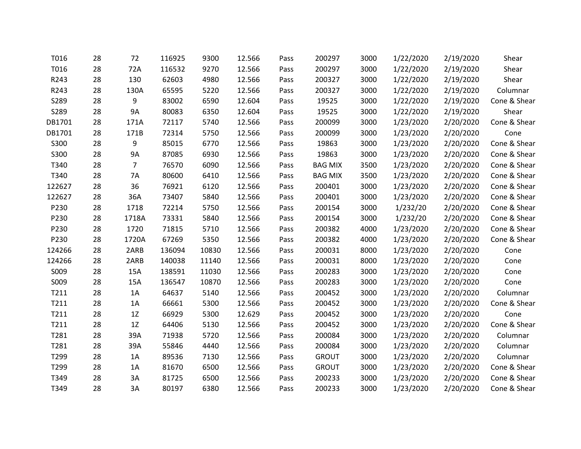| T016   | 28 | 72             | 116925 | 9300  | 12.566 | Pass | 200297         | 3000 | 1/22/2020 | 2/19/2020 | Shear        |
|--------|----|----------------|--------|-------|--------|------|----------------|------|-----------|-----------|--------------|
| T016   | 28 | 72A            | 116532 | 9270  | 12.566 | Pass | 200297         | 3000 | 1/22/2020 | 2/19/2020 | Shear        |
| R243   | 28 | 130            | 62603  | 4980  | 12.566 | Pass | 200327         | 3000 | 1/22/2020 | 2/19/2020 | Shear        |
| R243   | 28 | 130A           | 65595  | 5220  | 12.566 | Pass | 200327         | 3000 | 1/22/2020 | 2/19/2020 | Columnar     |
| S289   | 28 | 9              | 83002  | 6590  | 12.604 | Pass | 19525          | 3000 | 1/22/2020 | 2/19/2020 | Cone & Shear |
| S289   | 28 | <b>9A</b>      | 80083  | 6350  | 12.604 | Pass | 19525          | 3000 | 1/22/2020 | 2/19/2020 | Shear        |
| DB1701 | 28 | 171A           | 72117  | 5740  | 12.566 | Pass | 200099         | 3000 | 1/23/2020 | 2/20/2020 | Cone & Shear |
| DB1701 | 28 | 171B           | 72314  | 5750  | 12.566 | Pass | 200099         | 3000 | 1/23/2020 | 2/20/2020 | Cone         |
| S300   | 28 | 9              | 85015  | 6770  | 12.566 | Pass | 19863          | 3000 | 1/23/2020 | 2/20/2020 | Cone & Shear |
| S300   | 28 | <b>9A</b>      | 87085  | 6930  | 12.566 | Pass | 19863          | 3000 | 1/23/2020 | 2/20/2020 | Cone & Shear |
| T340   | 28 | $\overline{7}$ | 76570  | 6090  | 12.566 | Pass | <b>BAG MIX</b> | 3500 | 1/23/2020 | 2/20/2020 | Cone & Shear |
| T340   | 28 | <b>7A</b>      | 80600  | 6410  | 12.566 | Pass | <b>BAG MIX</b> | 3500 | 1/23/2020 | 2/20/2020 | Cone & Shear |
| 122627 | 28 | 36             | 76921  | 6120  | 12.566 | Pass | 200401         | 3000 | 1/23/2020 | 2/20/2020 | Cone & Shear |
| 122627 | 28 | 36A            | 73407  | 5840  | 12.566 | Pass | 200401         | 3000 | 1/23/2020 | 2/20/2020 | Cone & Shear |
| P230   | 28 | 1718           | 72214  | 5750  | 12.566 | Pass | 200154         | 3000 | 1/232/20  | 2/20/2020 | Cone & Shear |
| P230   | 28 | 1718A          | 73331  | 5840  | 12.566 | Pass | 200154         | 3000 | 1/232/20  | 2/20/2020 | Cone & Shear |
| P230   | 28 | 1720           | 71815  | 5710  | 12.566 | Pass | 200382         | 4000 | 1/23/2020 | 2/20/2020 | Cone & Shear |
| P230   | 28 | 1720A          | 67269  | 5350  | 12.566 | Pass | 200382         | 4000 | 1/23/2020 | 2/20/2020 | Cone & Shear |
| 124266 | 28 | 2ARB           | 136094 | 10830 | 12.566 | Pass | 200031         | 8000 | 1/23/2020 | 2/20/2020 | Cone         |
| 124266 | 28 | 2ARB           | 140038 | 11140 | 12.566 | Pass | 200031         | 8000 | 1/23/2020 | 2/20/2020 | Cone         |
| S009   | 28 | 15A            | 138591 | 11030 | 12.566 | Pass | 200283         | 3000 | 1/23/2020 | 2/20/2020 | Cone         |
| S009   | 28 | 15A            | 136547 | 10870 | 12.566 | Pass | 200283         | 3000 | 1/23/2020 | 2/20/2020 | Cone         |
| T211   | 28 | 1A             | 64637  | 5140  | 12.566 | Pass | 200452         | 3000 | 1/23/2020 | 2/20/2020 | Columnar     |
| T211   | 28 | 1A             | 66661  | 5300  | 12.566 | Pass | 200452         | 3000 | 1/23/2020 | 2/20/2020 | Cone & Shear |
| T211   | 28 | 1Z             | 66929  | 5300  | 12.629 | Pass | 200452         | 3000 | 1/23/2020 | 2/20/2020 | Cone         |
| T211   | 28 | 1Z             | 64406  | 5130  | 12.566 | Pass | 200452         | 3000 | 1/23/2020 | 2/20/2020 | Cone & Shear |
| T281   | 28 | 39A            | 71938  | 5720  | 12.566 | Pass | 200084         | 3000 | 1/23/2020 | 2/20/2020 | Columnar     |
| T281   | 28 | 39A            | 55846  | 4440  | 12.566 | Pass | 200084         | 3000 | 1/23/2020 | 2/20/2020 | Columnar     |
| T299   | 28 | 1A             | 89536  | 7130  | 12.566 | Pass | <b>GROUT</b>   | 3000 | 1/23/2020 | 2/20/2020 | Columnar     |
| T299   | 28 | 1A             | 81670  | 6500  | 12.566 | Pass | <b>GROUT</b>   | 3000 | 1/23/2020 | 2/20/2020 | Cone & Shear |
| T349   | 28 | 3A             | 81725  | 6500  | 12.566 | Pass | 200233         | 3000 | 1/23/2020 | 2/20/2020 | Cone & Shear |
| T349   | 28 | 3A             | 80197  | 6380  | 12.566 | Pass | 200233         | 3000 | 1/23/2020 | 2/20/2020 | Cone & Shear |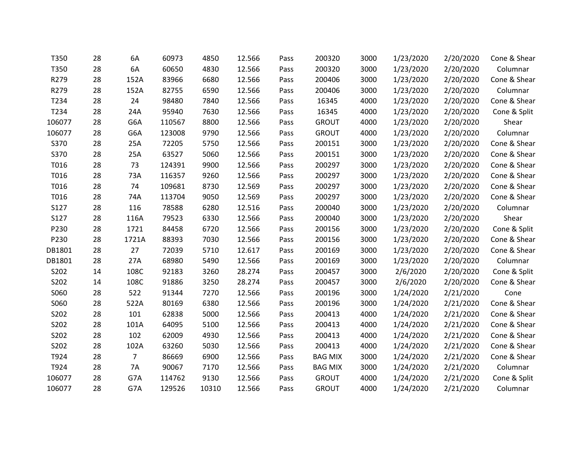| T350   | 28 | 6A             | 60973  | 4850  | 12.566 | Pass | 200320         | 3000 | 1/23/2020 | 2/20/2020 | Cone & Shear |
|--------|----|----------------|--------|-------|--------|------|----------------|------|-----------|-----------|--------------|
| T350   | 28 | 6A             | 60650  | 4830  | 12.566 | Pass | 200320         | 3000 | 1/23/2020 | 2/20/2020 | Columnar     |
| R279   | 28 | 152A           | 83966  | 6680  | 12.566 | Pass | 200406         | 3000 | 1/23/2020 | 2/20/2020 | Cone & Shear |
| R279   | 28 | 152A           | 82755  | 6590  | 12.566 | Pass | 200406         | 3000 | 1/23/2020 | 2/20/2020 | Columnar     |
| T234   | 28 | 24             | 98480  | 7840  | 12.566 | Pass | 16345          | 4000 | 1/23/2020 | 2/20/2020 | Cone & Shear |
| T234   | 28 | 24A            | 95940  | 7630  | 12.566 | Pass | 16345          | 4000 | 1/23/2020 | 2/20/2020 | Cone & Split |
| 106077 | 28 | G6A            | 110567 | 8800  | 12.566 | Pass | <b>GROUT</b>   | 4000 | 1/23/2020 | 2/20/2020 | Shear        |
| 106077 | 28 | G6A            | 123008 | 9790  | 12.566 | Pass | <b>GROUT</b>   | 4000 | 1/23/2020 | 2/20/2020 | Columnar     |
| S370   | 28 | 25A            | 72205  | 5750  | 12.566 | Pass | 200151         | 3000 | 1/23/2020 | 2/20/2020 | Cone & Shear |
| S370   | 28 | 25A            | 63527  | 5060  | 12.566 | Pass | 200151         | 3000 | 1/23/2020 | 2/20/2020 | Cone & Shear |
| T016   | 28 | 73             | 124391 | 9900  | 12.566 | Pass | 200297         | 3000 | 1/23/2020 | 2/20/2020 | Cone & Shear |
| T016   | 28 | 73A            | 116357 | 9260  | 12.566 | Pass | 200297         | 3000 | 1/23/2020 | 2/20/2020 | Cone & Shear |
| T016   | 28 | 74             | 109681 | 8730  | 12.569 | Pass | 200297         | 3000 | 1/23/2020 | 2/20/2020 | Cone & Shear |
| T016   | 28 | 74A            | 113704 | 9050  | 12.569 | Pass | 200297         | 3000 | 1/23/2020 | 2/20/2020 | Cone & Shear |
| S127   | 28 | 116            | 78588  | 6280  | 12.516 | Pass | 200040         | 3000 | 1/23/2020 | 2/20/2020 | Columnar     |
| S127   | 28 | 116A           | 79523  | 6330  | 12.566 | Pass | 200040         | 3000 | 1/23/2020 | 2/20/2020 | Shear        |
| P230   | 28 | 1721           | 84458  | 6720  | 12.566 | Pass | 200156         | 3000 | 1/23/2020 | 2/20/2020 | Cone & Split |
| P230   | 28 | 1721A          | 88393  | 7030  | 12.566 | Pass | 200156         | 3000 | 1/23/2020 | 2/20/2020 | Cone & Shear |
| DB1801 | 28 | 27             | 72039  | 5710  | 12.617 | Pass | 200169         | 3000 | 1/23/2020 | 2/20/2020 | Cone & Shear |
| DB1801 | 28 | 27A            | 68980  | 5490  | 12.566 | Pass | 200169         | 3000 | 1/23/2020 | 2/20/2020 | Columnar     |
| S202   | 14 | 108C           | 92183  | 3260  | 28.274 | Pass | 200457         | 3000 | 2/6/2020  | 2/20/2020 | Cone & Split |
| S202   | 14 | 108C           | 91886  | 3250  | 28.274 | Pass | 200457         | 3000 | 2/6/2020  | 2/20/2020 | Cone & Shear |
| S060   | 28 | 522            | 91344  | 7270  | 12.566 | Pass | 200196         | 3000 | 1/24/2020 | 2/21/2020 | Cone         |
| S060   | 28 | 522A           | 80169  | 6380  | 12.566 | Pass | 200196         | 3000 | 1/24/2020 | 2/21/2020 | Cone & Shear |
| S202   | 28 | 101            | 62838  | 5000  | 12.566 | Pass | 200413         | 4000 | 1/24/2020 | 2/21/2020 | Cone & Shear |
| S202   | 28 | 101A           | 64095  | 5100  | 12.566 | Pass | 200413         | 4000 | 1/24/2020 | 2/21/2020 | Cone & Shear |
| S202   | 28 | 102            | 62009  | 4930  | 12.566 | Pass | 200413         | 4000 | 1/24/2020 | 2/21/2020 | Cone & Shear |
| S202   | 28 | 102A           | 63260  | 5030  | 12.566 | Pass | 200413         | 4000 | 1/24/2020 | 2/21/2020 | Cone & Shear |
| T924   | 28 | $\overline{7}$ | 86669  | 6900  | 12.566 | Pass | <b>BAG MIX</b> | 3000 | 1/24/2020 | 2/21/2020 | Cone & Shear |
| T924   | 28 | <b>7A</b>      | 90067  | 7170  | 12.566 | Pass | <b>BAG MIX</b> | 3000 | 1/24/2020 | 2/21/2020 | Columnar     |
| 106077 | 28 | G7A            | 114762 | 9130  | 12.566 | Pass | <b>GROUT</b>   | 4000 | 1/24/2020 | 2/21/2020 | Cone & Split |
| 106077 | 28 | G7A            | 129526 | 10310 | 12.566 | Pass | <b>GROUT</b>   | 4000 | 1/24/2020 | 2/21/2020 | Columnar     |